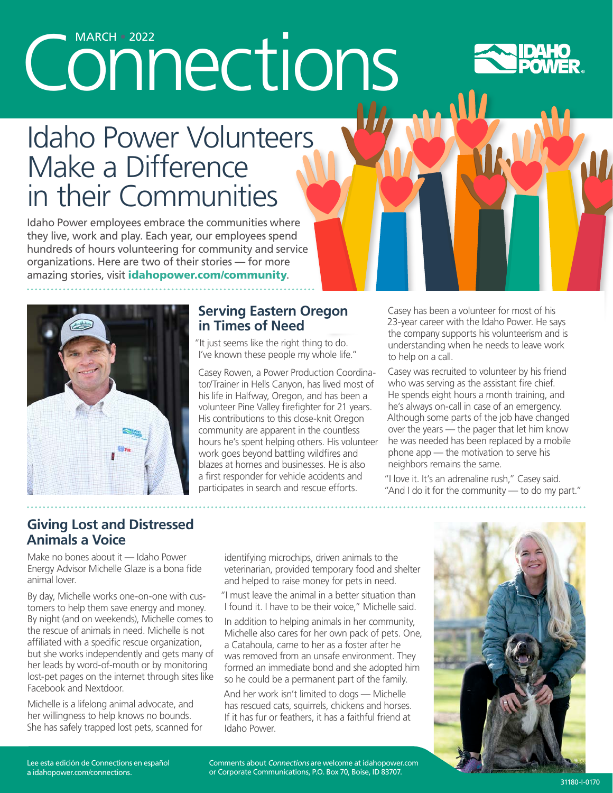# Connections



# Idaho Power Volunteers Make a Difference in their Communities

Idaho Power employees embrace the communities where they live, work and play. Each year, our employees spend hundreds of hours volunteering for community and service organizations. Here are two of their stories — for more amazing stories, visit idahopower.com/community.



#### **Serving Eastern Oregon in Times of Need**

"It just seems like the right thing to do. I've known these people my whole life."

Casey Rowen, a Power Production Coordinator/Trainer in Hells Canyon, has lived most of his life in Halfway, Oregon, and has been a volunteer Pine Valley firefighter for 21 years. His contributions to this close-knit Oregon community are apparent in the countless hours he's spent helping others. His volunteer work goes beyond battling wildfires and blazes at homes and businesses. He is also a first responder for vehicle accidents and participates in search and rescue efforts.

Casey has been a volunteer for most of his 23-year career with the Idaho Power. He says the company supports his volunteerism and is understanding when he needs to leave work to help on a call.

Casey was recruited to volunteer by his friend who was serving as the assistant fire chief. He spends eight hours a month training, and he's always on-call in case of an emergency. Although some parts of the job have changed over the years — the pager that let him know he was needed has been replaced by a mobile phone app — the motivation to serve his neighbors remains the same.

"I love it. It's an adrenaline rush," Casey said. "And I do it for the community — to do my part."

#### **Giving Lost and Distressed Animals a Voice**

Make no bones about it — Idaho Power Energy Advisor Michelle Glaze is a bona fide animal lover.

By day, Michelle works one-on-one with customers to help them save energy and money. By night (and on weekends), Michelle comes to the rescue of animals in need. Michelle is not affiliated with a specific rescue organization, but she works independently and gets many of her leads by word-of-mouth or by monitoring lost-pet pages on the internet through sites like Facebook and Nextdoor.

Michelle is a lifelong animal advocate, and her willingness to help knows no bounds. She has safely trapped lost pets, scanned for

identifying microchips, driven animals to the veterinarian, provided temporary food and shelter and helped to raise money for pets in need.

"I must leave the animal in a better situation than I found it. I have to be their voice," Michelle said.

In addition to helping animals in her community, Michelle also cares for her own pack of pets. One, a Catahoula, came to her as a foster after he was removed from an unsafe environment. They formed an immediate bond and she adopted him so he could be a permanent part of the family.

And her work isn't limited to dogs — Michelle has rescued cats, squirrels, chickens and horses. If it has fur or feathers, it has a faithful friend at Idaho Power.



Lee esta edición de Connections en español a idahopower.com/connections.

Comments about Connections are welcome at idahopower.com or Corporate Communications, P.O. Box 70, Boise, ID 83707.